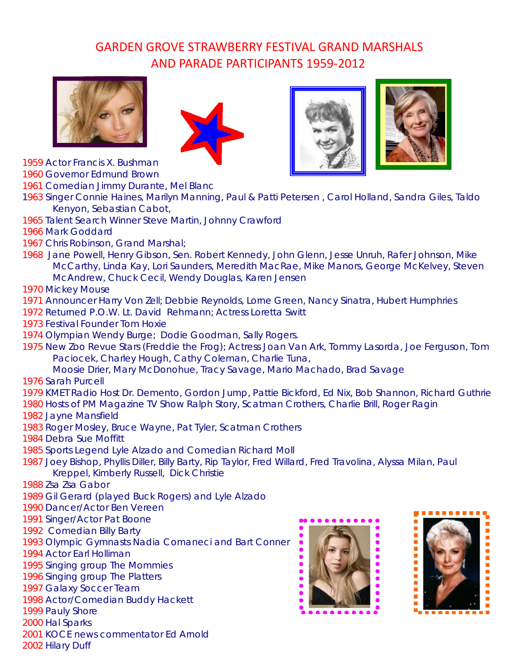## GARDEN GROVE STRAWBERRY FESTIVAL GRAND MARSHALS AND PARADE PARTICIPANTS 1959‐2012









1959 Actor Francis X. Bushman

1960 Governor Edmund Brown

1961 Comedian Jimmy Durante, Mel Blanc

- 1963 Singer Connie Haines, Marilyn Manning, Paul & Patti Petersen , Carol Holland, Sandra Giles, Taldo Kenyon, Sebastian Cabot,
- 1965 Talent Search Winner Steve Martin, Johnny Crawford
- 1966 Mark Goddard
- 1967 Chris Robinson, Grand Marshal;
- 1968 Jane Powell, Henry Gibson, Sen. Robert Kennedy, John Glenn, Jesse Unruh, Rafer Johnson, Mike McCarthy, Linda Kay, Lori Saunders, Meredith MacRae, Mike Manors, George McKelvey, Steven McAndrew, Chuck Cecil, Wendy Douglas, Karen Jensen

1970 Mickey Mouse

- 1971 Announcer Harry Von Zell; Debbie Reynolds, Lorne Green, Nancy Sinatra, Hubert Humphries
- 1972 Returned P.O.W. Lt. David Rehmann; Actress Loretta Switt
- 1973 Festival Founder Tom Hoxie
- 1974 Olympian Wendy Burge; Dodie Goodman, Sally Rogers.
- 1975 New Zoo Revue Stars (Freddie the Frog); Actress Joan Van Ark, Tommy Lasorda, Joe Ferguson, Tom Paciocek, Charley Hough, Cathy Coleman, Charlie Tuna,
	- Moosie Drier, Mary McDonohue, Tracy Savage, Mario Machado, Brad Savage

1976 Sarah Purcell

- 1979 KMET Radio Host Dr. Demento, Gordon Jump, Pattie Bickford, Ed Nix, Bob Shannon, Richard Guthrie
- 1980 Hosts of PM Magazine TV Show Ralph Story, Scatman Crothers, Charlie Brill, Roger Ragin
- 1982 Jayne Mansfield
- 1983 Roger Mosley, Bruce Wayne, Pat Tyler, Scatman Crothers
- 1984 Debra Sue Moffitt
- 1985 Sports Legend Lyle Alzado and Comedian Richard Moll
- 1987 Joey Bishop, Phyllis Diller, Billy Barty, Rip Taylor, Fred Willard, Fred Travolina, Alyssa Milan, Paul Kreppel, Kimberly Russell, Dick Christie
- 1988 Zsa Zsa Gabor
- 1989 Gil Gerard (played Buck Rogers) and Lyle Alzado
- 1990 Dancer/Actor Ben Vereen
- 1991 Singer/Actor Pat Boone
- 1992 Comedian Billy Barty
- 1993 Olympic Gymnasts Nadia Comaneci and Bart Conner
- 1994 Actor Earl Holliman
- 1995 Singing group The Mommies
- 1996 Singing group The Platters
- 1997 Galaxy Soccer Team
- 1998 Actor/Comedian Buddy Hackett
- 1999 Pauly Shore
- 2000 Hal Sparks
- 2001 KOCE news commentator Ed Arnold
- 2002 Hilary Duff